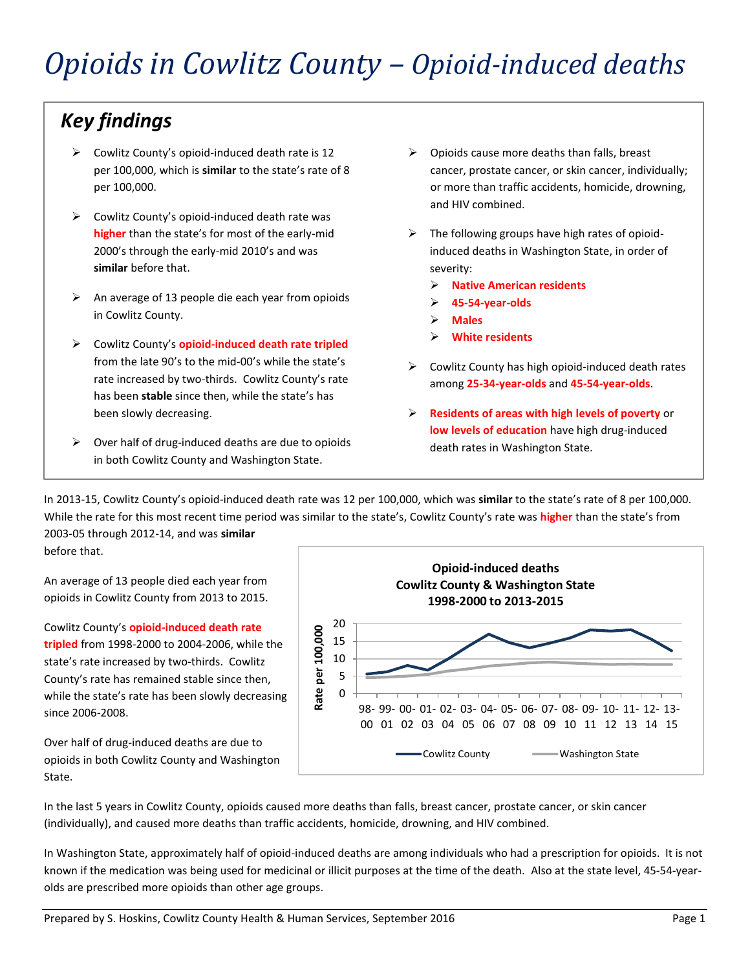# *Key findings*

- ➢ Cowlitz County's opioid-induced death rate is 12 per 100,000, which is **similar** to the state's rate of 8 per 100,000.
- $\triangleright$  Cowlitz County's opioid-induced death rate was **higher** than the state's for most of the early-mid 2000's through the early-mid 2010's and was **similar** before that.
- $\triangleright$  An average of 13 people die each year from opioids in Cowlitz County.
- ➢ Cowlitz County's **opioid-induced death rate tripled** from the late 90's to the mid-00's while the state's rate increased by two-thirds. Cowlitz County's rate has been **stable** since then, while the state's has been slowly decreasing.
- $\triangleright$  Over half of drug-induced deaths are due to opioids in both Cowlitz County and Washington State.
- $\triangleright$  Opioids cause more deaths than falls, breast cancer, prostate cancer, or skin cancer, individually; or more than traffic accidents, homicide, drowning, and HIV combined.
- $\triangleright$  The following groups have high rates of opioidinduced deaths in Washington State, in order of severity:
	- ➢ **Native American residents**
	- ➢ **45-54-year-olds**
	- ➢ **Males**
	- ➢ **White residents**
- $\triangleright$  Cowlitz County has high opioid-induced death rates among **25-34-year-olds** and **45-54-year-olds**.
- ➢ **Residents of areas with high levels of poverty** or **low levels of education** have high drug-induced death rates in Washington State.

In 2013-15, Cowlitz County's opioid-induced death rate was 12 per 100,000, which was **similar** to the state's rate of 8 per 100,000. While the rate for this most recent time period was similar to the state's, Cowlitz County's rate was **higher** than the state's from 2003-05 through 2012-14, and was **similar** 

before that.

An average of 13 people died each year from opioids in Cowlitz County from 2013 to 2015.



**Opioid-induced deaths**

Cowlitz County's **opioid-induced death rate tripled** from 1998-2000 to 2004-2006, while the state's rate increased by two-thirds. Cowlitz County's rate has remained stable since then, while the state's rate has been slowly decreasing since 2006-2008.

Over half of drug-induced deaths are due to opioids in both Cowlitz County and Washington State.

In the last 5 years in Cowlitz County, opioids caused more deaths than falls, breast cancer, prostate cancer, or skin cancer (individually), and caused more deaths than traffic accidents, homicide, drowning, and HIV combined.

In Washington State, approximately half of opioid-induced deaths are among individuals who had a prescription for opioids. It is not known if the medication was being used for medicinal or illicit purposes at the time of the death. Also at the state level, 45-54-yearolds are prescribed more opioids than other age groups.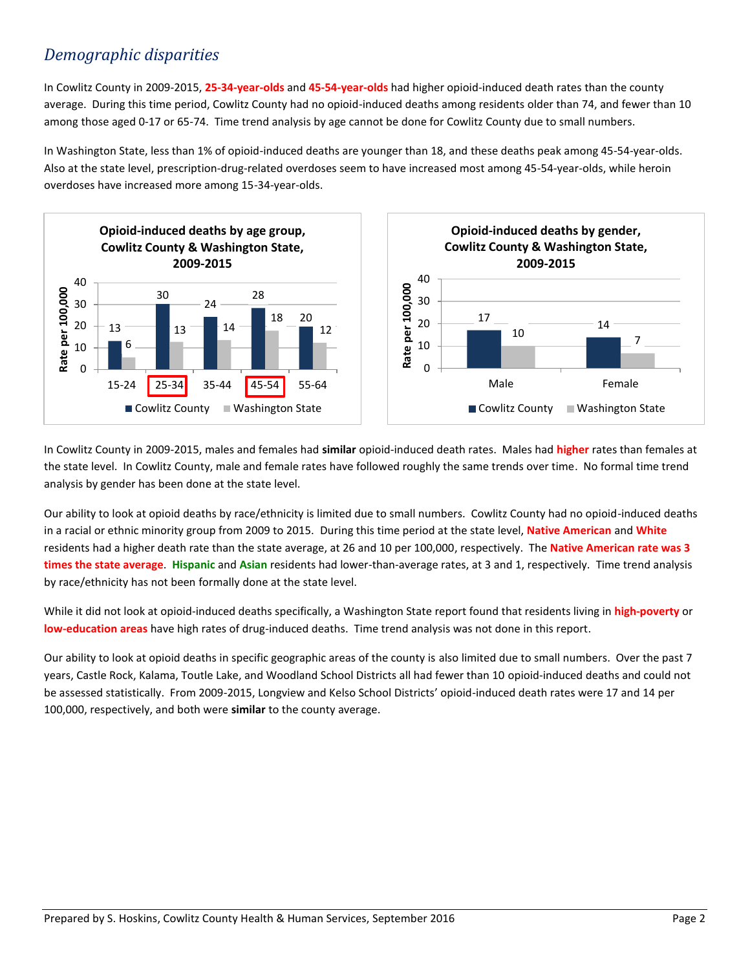# *Demographic disparities*

In Cowlitz County in 2009-2015, **25-34-year-olds** and **45-54-year-olds** had higher opioid-induced death rates than the county average. During this time period, Cowlitz County had no opioid-induced deaths among residents older than 74, and fewer than 10 among those aged 0-17 or 65-74. Time trend analysis by age cannot be done for Cowlitz County due to small numbers.

In Washington State, less than 1% of opioid-induced deaths are younger than 18, and these deaths peak among 45-54-year-olds. Also at the state level, prescription-drug-related overdoses seem to have increased most among 45-54-year-olds, while heroin overdoses have increased more among 15-34-year-olds.



In Cowlitz County in 2009-2015, males and females had **similar** opioid-induced death rates. Males had **higher** rates than females at the state level. In Cowlitz County, male and female rates have followed roughly the same trends over time. No formal time trend analysis by gender has been done at the state level.

Our ability to look at opioid deaths by race/ethnicity is limited due to small numbers. Cowlitz County had no opioid-induced deaths in a racial or ethnic minority group from 2009 to 2015. During this time period at the state level, **Native American** and **White** residents had a higher death rate than the state average, at 26 and 10 per 100,000, respectively. The **Native American rate was 3 times the state average**. **Hispanic** and **Asian** residents had lower-than-average rates, at 3 and 1, respectively. Time trend analysis by race/ethnicity has not been formally done at the state level.

While it did not look at opioid-induced deaths specifically, a Washington State report found that residents living in **high-poverty** or **low-education areas** have high rates of drug-induced deaths. Time trend analysis was not done in this report.

Our ability to look at opioid deaths in specific geographic areas of the county is also limited due to small numbers. Over the past 7 years, Castle Rock, Kalama, Toutle Lake, and Woodland School Districts all had fewer than 10 opioid-induced deaths and could not be assessed statistically. From 2009-2015, Longview and Kelso School Districts' opioid-induced death rates were 17 and 14 per 100,000, respectively, and both were **similar** to the county average.